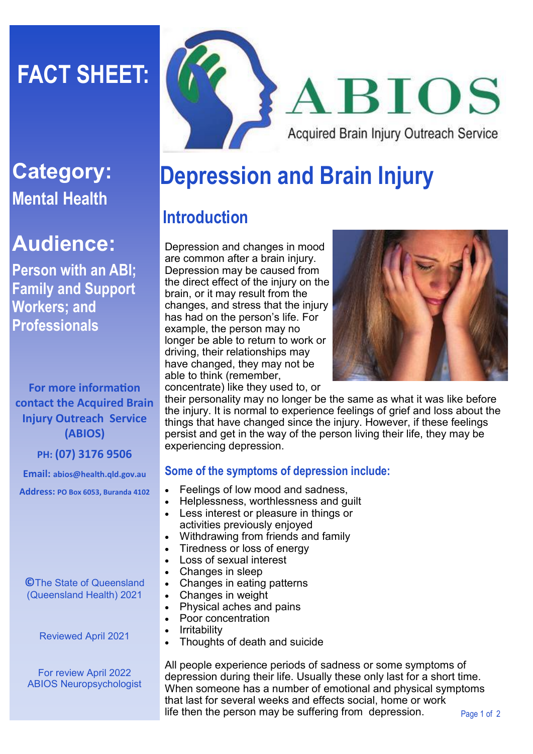# **FACT SHEET:**

### **Category: Mental Health**

## **Audience:**

**Person with an ABI; Family and Support Workers; and Professionals**

**For more information contact the Acquired Brain Injury Outreach Service (ABIOS)**

**PH: (07) 3176 9506**

**Email: abios@health.qld.gov.au Address: PO Box 6053, Buranda 4102**

**©**The State of Queensland (Queensland Health) 2021

Reviewed April 2021

For review April 2022 ABIOS Neuropsychologist



## **Depression and Brain Injury**

### **Introduction**

Depression and changes in mood are common after a brain injury. Depression may be caused from the direct effect of the injury on the brain, or it may result from the changes, and stress that the injury has had on the person's life. For example, the person may no longer be able to return to work or driving, their relationships may have changed, they may not be able to think (remember, concentrate) like they used to, or



their personality may no longer be the same as what it was like before the injury. It is normal to experience feelings of grief and loss about the things that have changed since the injury. However, if these feelings persist and get in the way of the person living their life, they may be experiencing depression.

#### **Some of the symptoms of depression include:**

- Feelings of low mood and sadness,
- Helplessness, worthlessness and guilt
- Less interest or pleasure in things or activities previously enjoyed
- Withdrawing from friends and family
- Tiredness or loss of energy
- Loss of sexual interest
- Changes in sleep
- Changes in eating patterns
- Changes in weight
- Physical aches and pains
- Poor concentration
- **Irritability**
- Thoughts of death and suicide

All people experience periods of sadness or some symptoms of depression during their life. Usually these only last for a short time. When someone has a number of emotional and physical symptoms that last for several weeks and effects social, home or work life then the person may be suffering from depression.